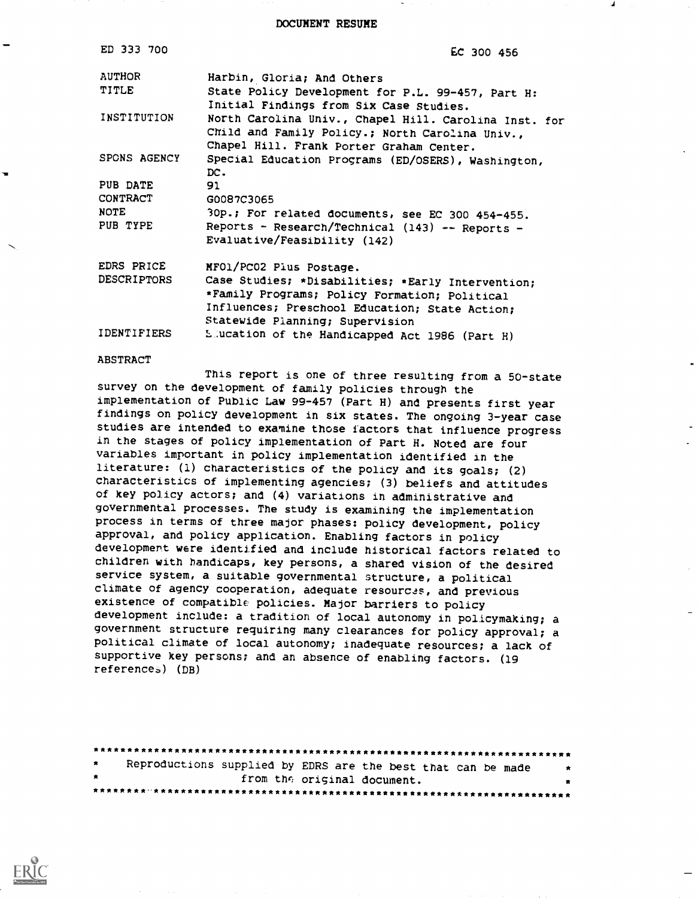DOCUMENT RESUME

| ED 333 700         | EC 300 456                                                                                                                                           |
|--------------------|------------------------------------------------------------------------------------------------------------------------------------------------------|
| <b>AUTHOR</b>      | Harbin, Gloria; And Others                                                                                                                           |
| TITLE              | State Policy Development for P.L. 99-457, Part H:<br>Initial Findings from Six Case Studies.                                                         |
| INSTITUTION        | North Carolina Univ., Chapel Hill. Carolina Inst. for<br>Child and Family Policy.; North Carolina Univ.,<br>Chapel Hill. Frank Porter Graham Center. |
| SPONS AGENCY       | Special Education Programs (ED/OSERS), Washington,<br>DC.                                                                                            |
| PUB DATE           | 91                                                                                                                                                   |
| CONTRACT           | G0087C3065                                                                                                                                           |
| <b>NOTE</b>        | 30p.; For related documents, see EC 300 454-455.                                                                                                     |
| PUB TYPE           | Reports - Research/Technical (143) -- Reports -<br>Evaluative/Feasibility (142)                                                                      |
| EDRS PRICE         | MFO1/PC02 Plus Postage.                                                                                                                              |
| <b>DESCRIPTORS</b> | Case Studies; *Disabilities; *Early Intervention;                                                                                                    |
|                    | *Family Programs; Policy Formation; Political                                                                                                        |
|                    | Influences; Preschool Education; State Action;<br>Statewide Planning; Supervision                                                                    |
| <b>IDENTIFIERS</b> | Liucation of the Handicapped Act 1986 (Part H)                                                                                                       |

#### ABSTRACT

This report is one of three resulting from a 50-state survey on the development of family policies through the implementation of Public Law 99-457 (Part H) and presents first year findings on policy development in six states. The ongoing 3-year case studies are intended to examine those factors that influence progress in the stages of policy implementation of Part H. Noted are four variables important in policy implementation identified in the literature: (1) characteristics of the policy and its goals; (2) characteristics of implementing agencies; (3) beliefs and attitudes of key policy actors; and (4) variations in administrative and governmental processes. The study is examining the implementation process in terms of three major phases: policy development, policy approval, and policy application. Enabling factors in policy developmert were identified and include historical factors related to children with handicaps, key persons, a shared vision of the desired service system, a suitable governmental structure, a political climate of agency cooperation, adequate resources, and previous existence of compatible policies. Major barriers to policy development include: a tradition of local autonomy in policymaking; a government structure requiring many clearances for policy approval; a political climate of local autonomy; inadequate resources; a lack of supportive key persons; and an absence of enabling factors. (19 reference) (DB)

| $\star$ | Reproductions supplied by EDRS are the best that can be made |  |                             |  | $\ddot{\mathbf{x}}$ |
|---------|--------------------------------------------------------------|--|-----------------------------|--|---------------------|
| * .     |                                                              |  | from the original document. |  |                     |

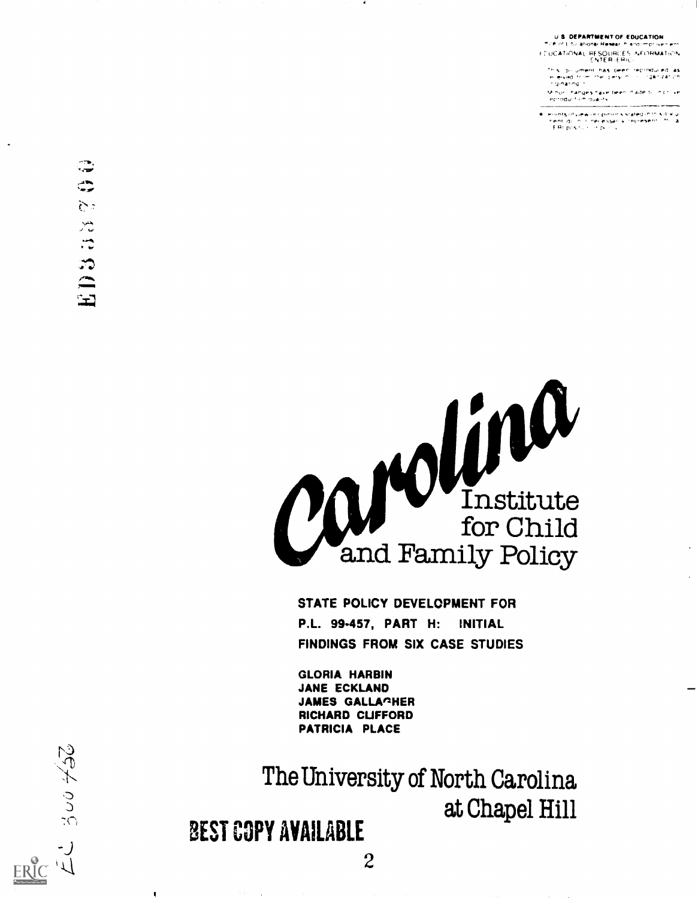**U.S. DEPARTMENT OF EDUCATION** " CP of Educations: Resear in and improvement

EUCATIONAL PESQURCES INFORMATION<br>ENTER (ERIC)

s du ument has Deen reproduced as<br>eiked trom the person of 'rganiza'i.co

hanyi i hanges have been made billin brillive<br>" eprodur fion quality

? ginating ?<br>Another hanges have been in ade book ? Covern<br>Horodor from duality<br>ment do not inter experiency stated in to siding<br>hend do not have a species in represent ? This a<br>EER position of De not

ERIC W

Suo KSU



STATE POLICY DEVELOPMENT FOR P.L. 99-457, PART H: INITIAL FINDINGS FROM SIX CASE STUDIES

GLORIA HARBIN JANE ECKLAND JAMES GALLACHER RICHARD CUFFORD PATRICIA PLACE

The University of North Carolina at Chapel Hill

## BEST COPY AVAILABLE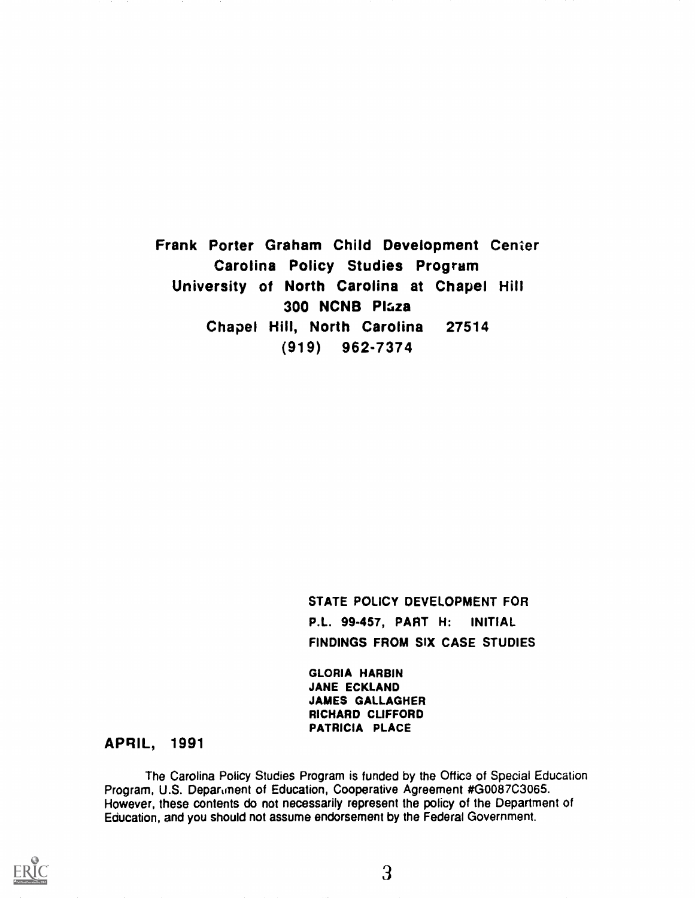Frank Porter Graham Child Development Center Carolina Policy Studies Program University of North Carolina at Chapel Hill 300 NCNB Plaza Chapel Hill, North Carolina 27514 (919) 962-7374

> STATE POLICY DEVELOPMENT FOR P.L. 99-457, PART H: INITIAL FINDINGS FROM SIX CASE STUDIES

GLORIA HARBIN JANE ECKLAND JAMES GALLAGHER RICHARD CLIFFORD PATRICIA PLACE

## APRIL, 1991

The Carolina Policy Studies Program is funded by the Office of Special Education Program, U.S. Department of Education, Cooperative Agreement #G0087C3065. However, these contents do not necessarily represent the policy of the Department of Education, and you should not assume endorsement by the Federal Government.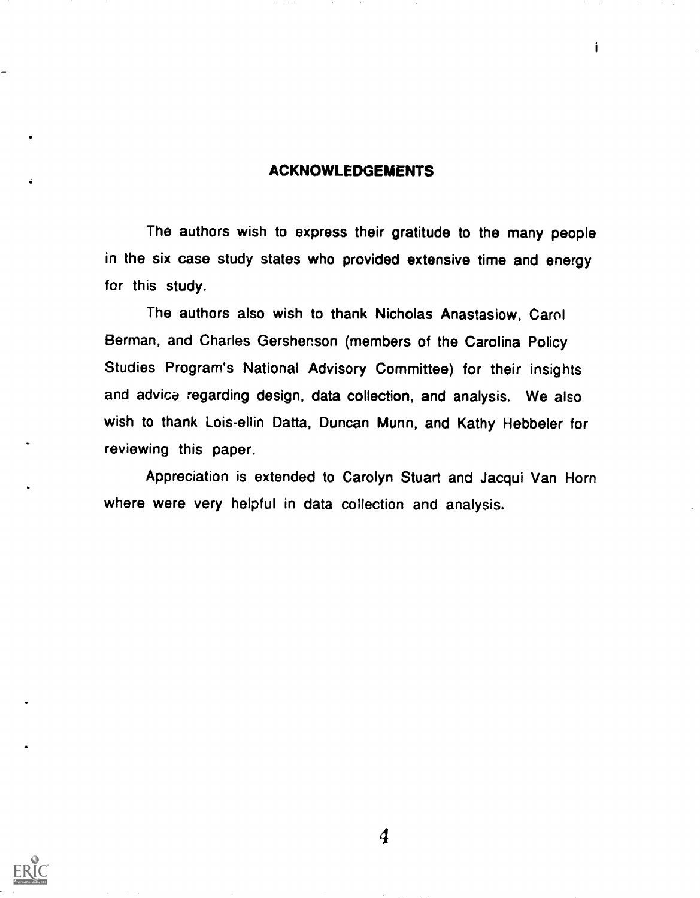#### ACKNOWLEDGEMENTS

i

The authors wish to express their gratitude to the many people in the six case study states who provided extensive time and energy for this study.

The authors also wish to thank Nicholas Anastasiow, Carol Berman, and Charles Gershenson (members of the Carolina Policy Studies Program's National Advisory Committee) for their insights and advice regarding design, data collection, and analysis. We also wish to thank Lois-ellin Datta, Duncan Munn, and Kathy Hebbeler for reviewing this paper.

Appreciation is extended to Carolyn Stuart and Jacqui Van Horn where were very helpful in data collection and analysis.



 $\boldsymbol{4}$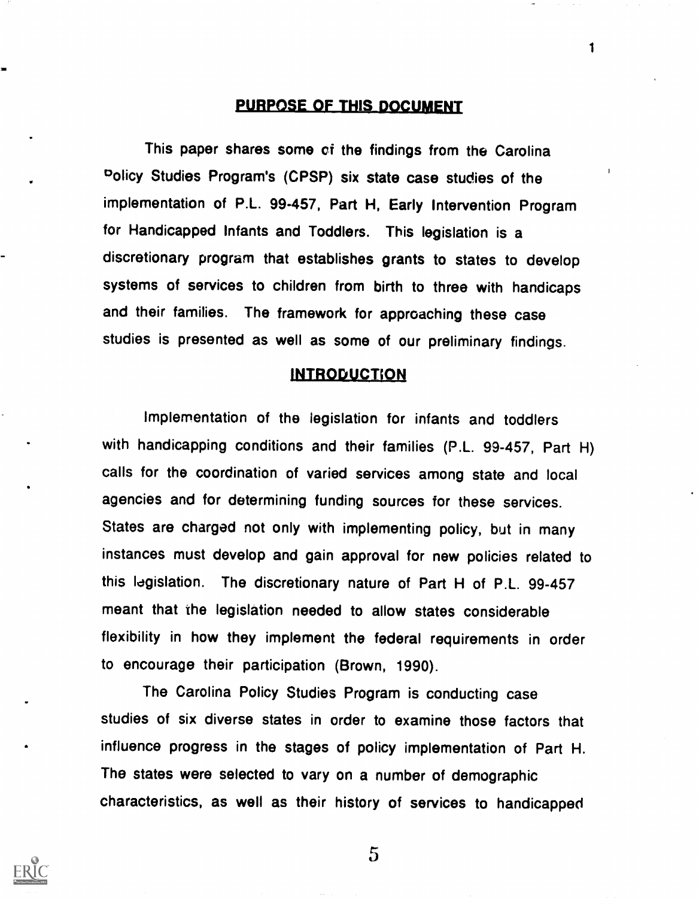## PURPOSE OF THIS DOCUMENT

1

This paper shares some of the findings from the Carolina °olicy Studies Program's (CPSP) six state case studies of the implementation of P.L. 99-457, Part H, Early Intervention Program for Handicapped Infants and Toddlers. This legislation is a discretionary program that establishes grants to states to develop systems of services to children from birth to three with handicaps and their families. The framework for approaching these case studies is presented as well as some of our preliminary findings.

#### **INTRODUCTION**

Implementation of the legislation for infants and toddlers with handicapping conditions and their families (P.L. 99-457, Part H) calls for the coordination of varied services among state and local agencies and for determining funding sources for these services. States are charged not only with implementing policy, but in many instances must develop and gain approval for new policies related to this legislation. The discretionary nature of Part H of P.L. 99-457 meant that the legislation needed to allow states considerable flexibility in how they implement the federal requirements in order to encourage their participation (Brown, 1990).

The Carolina Policy Studies Program is conducting case studies of six diverse states in order to examine those factors that influence progress in the stages of policy implementation of Part H. The states were selected to vary on a number of demographic characteristics, as well as their history of services to handicapped



 $\overline{5}$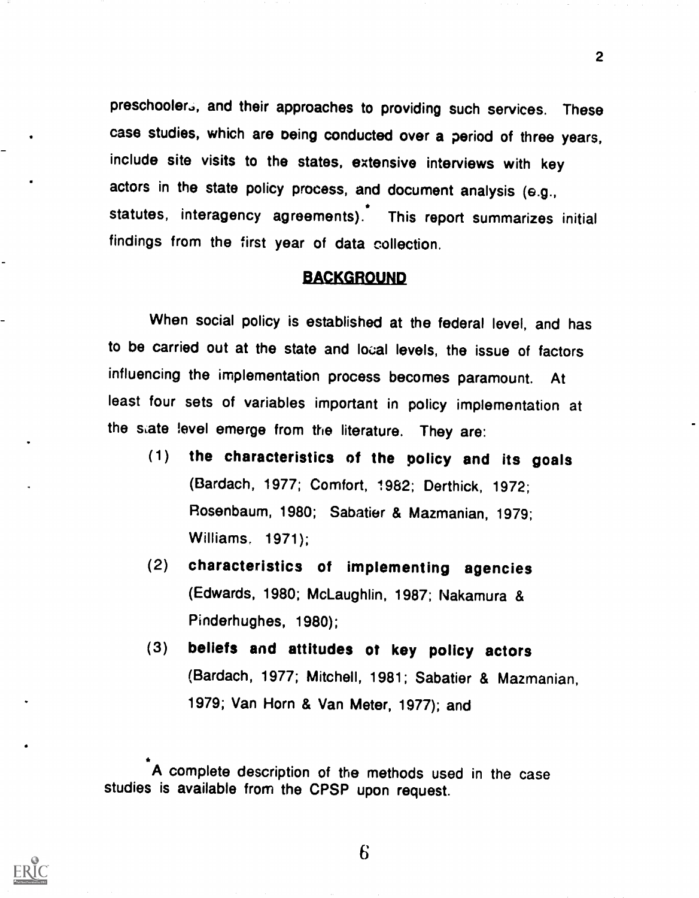preschooler., and their approaches to providing such services. These case studies, which are oeing conducted over a period of three years, include site visits to the states, extensive interviews with key actors in the state policy process, and document analysis (e.g., statutes, interagency agreements). This report summarizes initial findings from the first year of data collection.

### BACKGROUND

When social policy is established at the federal level, and has to be carried out at the state and local levels, the issue of factors influencing the implementation process becomes paramount. At least four sets of variables important in policy implementation at the state level emerge from the literature. They are:

- (1) the characteristics of the policy and its goals (Bardach, 1977; Comfort, 1982; Derthick, 1972; Rosenbaum, 1980; Sabatier & Mazmanian, 1979; Williams, 1971);
- (2) characteristics of implementing agencies (Edwards, 1980; McLaughlin, 1987; Nakamura & Pinderhughes, 1980);
- (3) beliefs and attitudes ot key policy actors (Bardach, 1977; Mitchell, 1981; Sabatier & Mazmanian, 1979; Van Horn & Van Meter, 1977); and

A complete description of the methods used in the case studies is available from the CPSP upon request.



6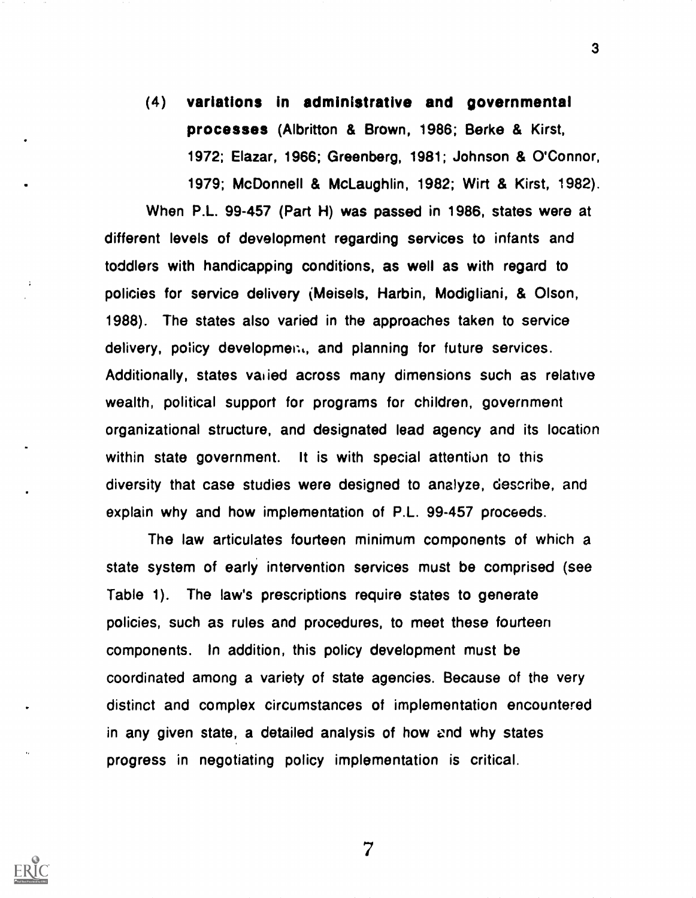(4) variations in administrative and governmental processes (Albritton & Brown, 1986; Berke & Kirst, 1972; Elazar, 1966; Greenberg, 1981; Johnson & O'Connor, 1979; McDonnell & McLaughlin, 1982; Wirt & Kirst, 1982).

When P.L. 99-457 (Part H) was passed in 1986, states were at different levels of development regarding services to infants and toddlers with handicapping conditions, as well as with regard to policies for service delivery (Meisels, Harbin, Modigliani, & Olson, 1988). The states also varied in the approaches taken to service delivery, policy development, and planning for future services. Additionally, states varied across many dimensions such as relative wealth, political support for programs for children, government organizational structure, and designated lead agency and its location within state government. It is with special attention to this diversity that case studies were designed to analyze, describe, and explain why and how implementation of P.L. 99-457 proceeds.

 $\mathbf{r}$ 

The law articulates fourteen minimum components of which a state system of early intervention services must be comprised (see Table 1). The law's prescriptions require states to generate policies, such as rules and procedures, to meet these fourteen components. In addition, this policy development must be coordinated among a variety of state agencies. Because of the very distinct and complex circumstances of implementation encountered in any given state, a detailed analysis of how end why states progress in negotiating policy implementation is critical.

7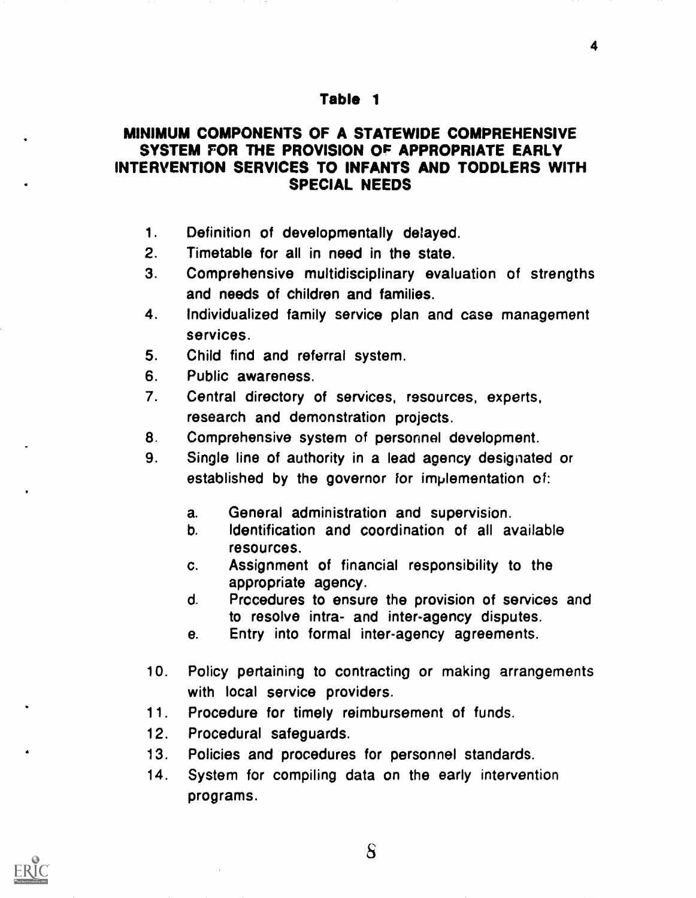#### Table 1

## MINIMUM COMPONENTS OF A STATEWIDE COMPREHENSIVE SYSTEM FOR THE PROVISION OF APPROPRIATE EARLY INTERVENTION SERVICES TO INFANTS AND TODDLERS WITH SPECIAL NEEDS

- 1. Definition of developmentally delayed.
- 2. Timetable for all in need in the state.
- 3. Comprehensive multidisciplinary evaluation of strengths and needs of children and families.
- 4. Individualized family service plan and case management services.
- 5. Child find and referral system.
- 6. Public awareness.
- 7. Central directory of services, resources, experts, research and demonstration projects.
- 8. Comprehensive system of personnel development.
- 9. Single line of authority in a lead agency designated or established by the governor for implementation of:
	- a. General administration and supervision.
	- b. Identification and coordination of all available resources.
	- c. Assignment of financial responsibility to the appropriate agency.
	- d. Procedures to ensure the provision of services and to resolve intra- and inter-agency disputes.
	- e. Entry into formal inter-agency agreements.
- 10. Policy pertaining to contracting or making arrangements with local service providers.
- 11. Procedure for timely reimbursement of funds.
- 12. Procedural safeguards.
- 13. Policies and procedures for personnel standards.
- 14. System for compiling data on the early intervention programs.



 $\delta$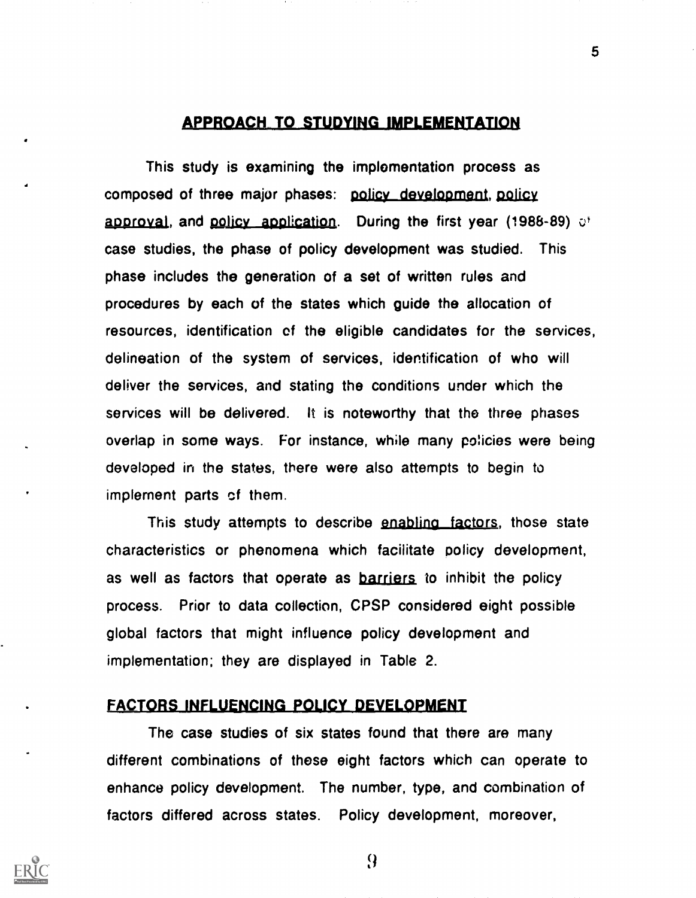#### **APPROACH TO STUDYING IMPLEMENTATION**

This study is examining the implementation process as composed of three major phases: pojicy development, policy approval, and policy application. During the first year (1988-89)  $e^{\dagger}$ case studies, the phase of policy development was studied. This phase includes the generation of a set of written rules and procedures by each of the states which guide the allocation of resources, identification of the eligible candidates for the services, delineation of the system of services, identification of who will deliver the services, and stating the conditions under which the services will be delivered. It is noteworthy that the three phases overlap in some ways. For instance, while many policies were being developed in the states, there were also attempts to begin to implement parts cf them.

This study attempts to describe enabling factors, those state characteristics or phenomena which facilitate policy development, as well as factors that operate as **barriers** to inhibit the policy process. Prior to data collection, CPSP considered eight possible global factors that might influence policy development and implementation; they are displayed in Table 2.

## FACTORS INFLUENCING POLICY DEVELOPMENT

The case studies of six states found that there are many different combinations of these eight factors which can operate to enhance policy development. The number, type, and combination of factors differed across states. Policy development, moreover,



9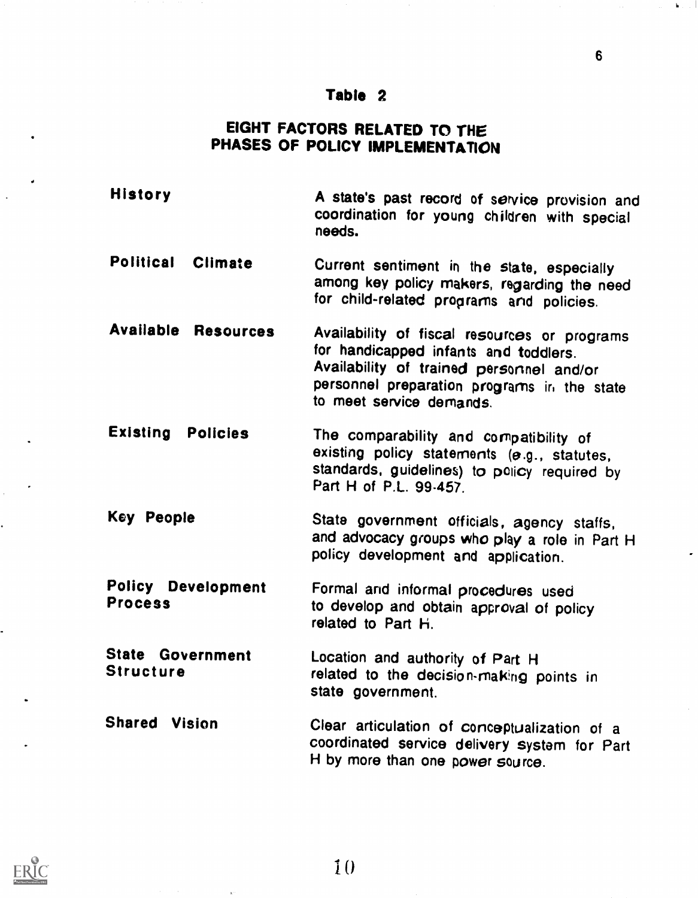## Table 2

6

## EIGHT FACTORS RELATED TO THE PHASES OF POLICY IMPLEMENTATION

- History A state's past record of service provision and coordination for young children with special needs.
- Political Climate Current sentiment in the state, especially among key policy makers, regarding the need for child-related prograrns and policies.
- Available Resources Availability of fiscal resources or programs for handicapped infants and toddlers. Availability of trained personnel and/or personnel preparation programs in the state to meet service demands.
- Existing Policies The comparability and compatibility of existing policy statements (e.g., statutes, standards, guidelines) to policy required by Part H of P.L. 99-457.
- Key People State government officials, agency staffs, and advocacy groups who play a role in Part H policy development and application.
- Policy Development Process Formal and informal procedures used to develop and obtain approval of policy related to Part H.
- State Government **Structure** Location and authority of Part H related to the decision-making points in state government.
- Shared Vision Clear articulation of conceptualization of a coordinated service delivery system for Part H by more than one power source.



d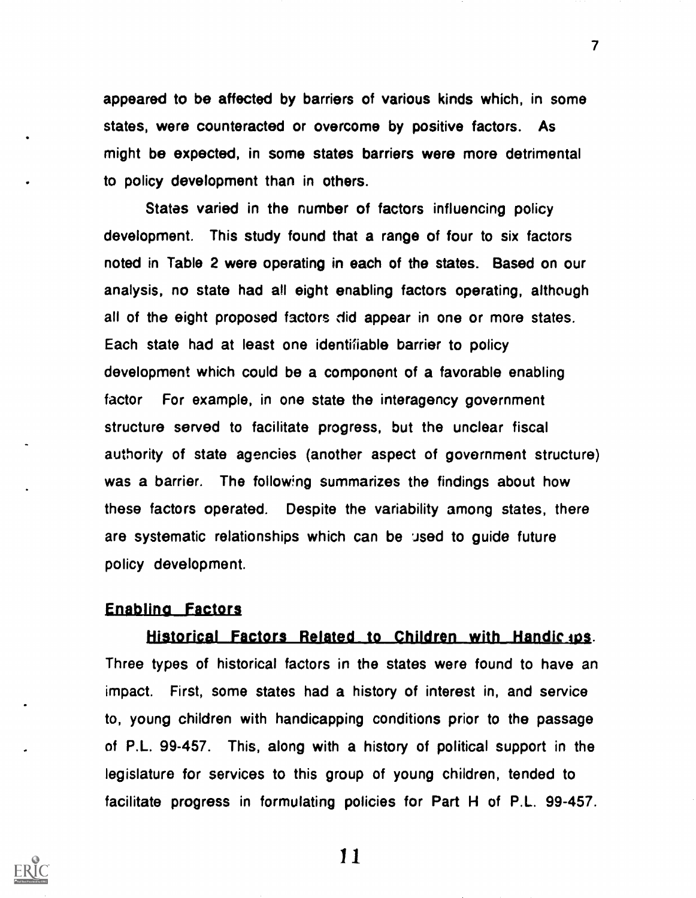appeared to be affected by barriers of various kinds which, in some states, were counteracted or overcome by positive factors. As might be expected, in some states barriers were more detrimental to policy development than in others.

States varied in the number of factors influencing policy development. This study found that a range of four to six factors noted in Table 2 were operating in each of the states. Based on our analysis, no state had all eight enabling factors operating, although all of the eight proposed factors did appear in one or more states. Each state had at least one identifiable barrier to policy development which could be a component of a favorable enabling factor For example, in one state the interagency government structure served to facilitate progress, but the unclear fiscal authority of state agencies (another aspect of government structure) was a barrier. The following summarizes the findings about how these factors operated. Despite the variability among states, there are systematic relationships which can be Jsed to guide future policy development.

#### **Enabling Factors**

Historical Factors Related to Children with Handic ups. Three types of historical factors in the states were found to have an impact. First, some states had a history of interest in, and service to, young children with handicapping conditions prior to the passage of P.L. 99-457. This, along with a history of political support in the legislature for services to this group of young children, tended to facilitate progress in formulating policies for Part H of P.L. 99-457.



11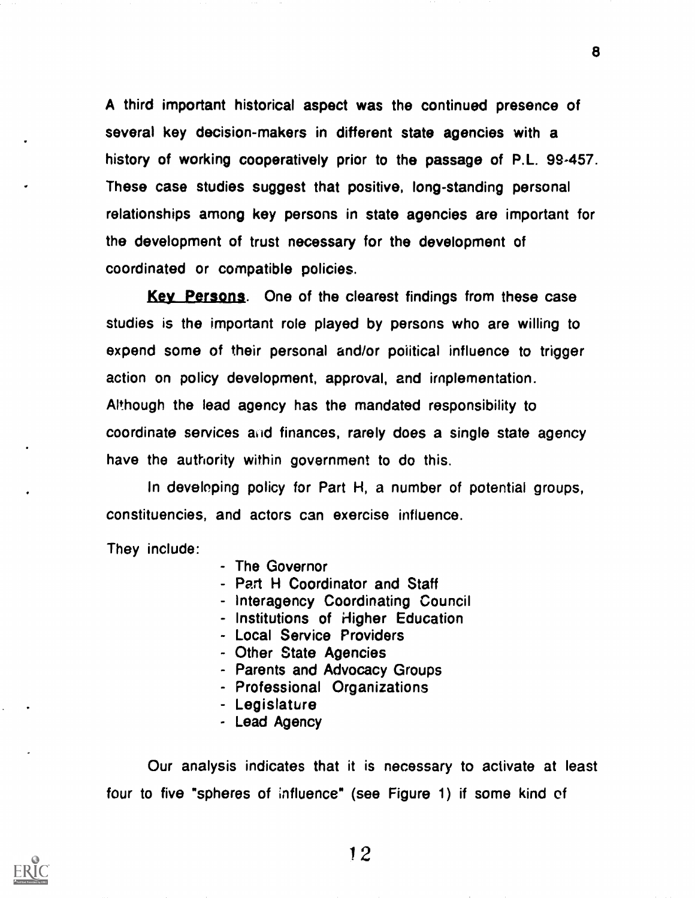A third important historical aspect was the continued presence of several key decision-makers in different state agencies with a history of working cooperatively prior to the passage of P.L. 99-457. These case studies suggest that positive, long-standing personal relationships among key persons in state agencies are important for the development of trust necessary for the development of coordinated or compatible policies.

Key Persons. One of the clearest findings from these case studies is the important role played by persons who are willing to expend some of their personal and/or poiitical influence to trigger action on policy development, approval, and implementation. Although the lead agency has the mandated responsibility to coordinate services and finances, rarely does a single state agency have the authority within government to do this.

In developing policy for Part H, a number of potential groups, constituencies, and actors can exercise influence.

They include:

- The Governor
- Part H Coordinator and Staff
- Interagency Coordinating Council
- Institutions of Higher Education
- Local Service Providers
- Other State Agencies
- Parents and Advocacy Groups
- Professional Organizations
- Legislature
- Lead Agency

Our analysis indicates that it is necessary to activate at least four to five "spheres of influence" (see Figure 1) if some kind of

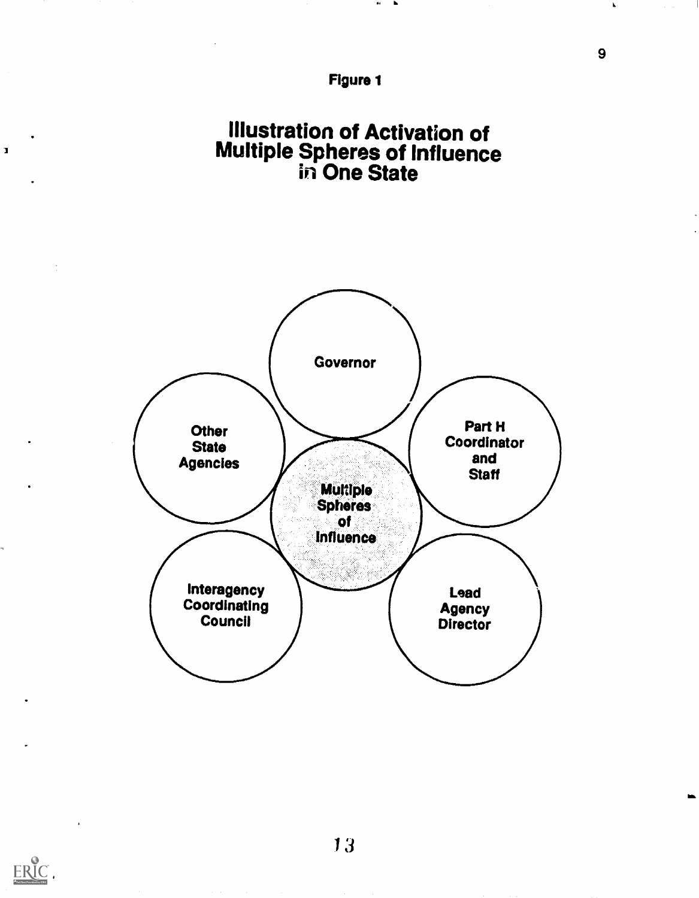

## Illustration of Activation of Multiple Spheres of Influence in One State





 $\mathbf I$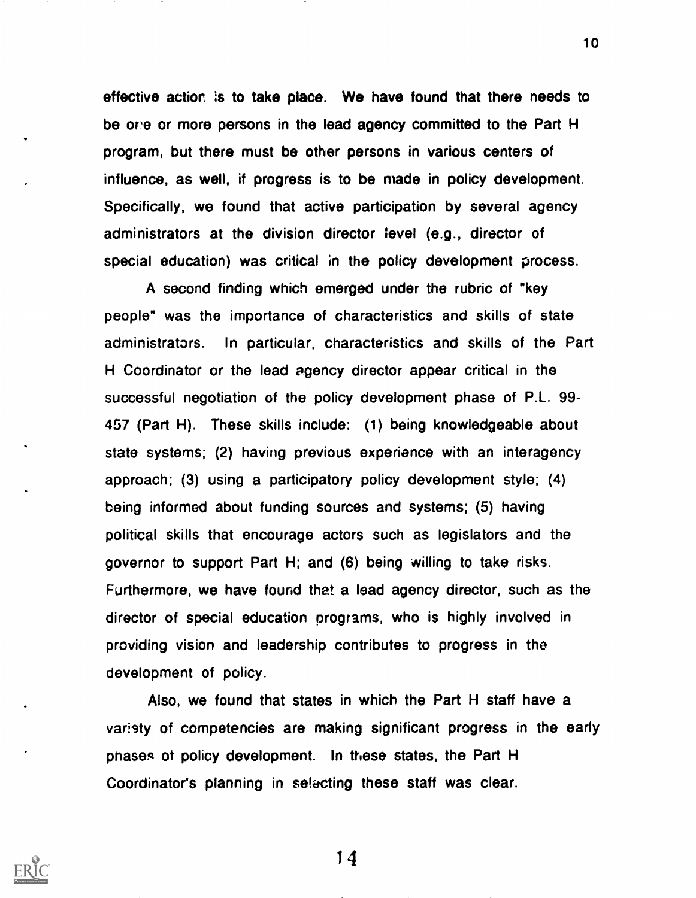effective action is to take place. We have found that there needs to be one or more persons in the lead agency committed to the Part H program, but there must be other persons in various centers of influence, as well, if progress is to be made in policy development. Specifically, we found that active participation by several agency administrators at the division director level (e.g., director of special education) was critical in the policy development process.

A second finding which emerged under the rubric of "key people" was the importance of characteristics and skills of state administrators. In particular, characteristics and skills of the Part H Coordinator or the lead agency director appear critical in the successful negotiation of the policy development phase of P.L. 99- 457 (Part H). These skills include: (1) being knowledgeable about state systems; (2) having previous experience with an interagency approach; (3) using a participatory policy development style; (4) being informed about funding sources and systems; (5) having political skills that encourage actors such as legislators and the governor to support Part H; and (6) being willing to take risks. Furthermore, we have found that a lead agency director, such as the director of special education programs, who is highly involved in providing vision and leadership contributes to progress in the development of policy.

Also, we found that states in which the Part H staff have a variety of competencies are making significant progress in the early phases ot policy development. In these states, the Part H Coordinator's planning in se!acting these staff was clear.

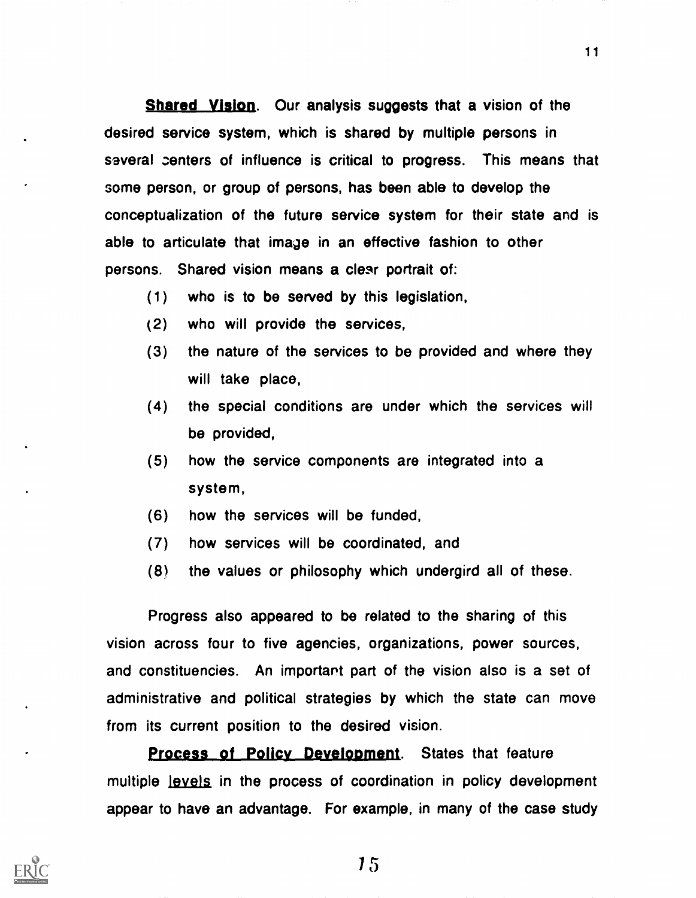Shared Vision. Our analysis suggests that a vision of the desired service system, which is shared by multiple persons in saveral centers of influence is critical to progress. This means that some person, or group of persons, has been able to develop the conceptualization of the future service system for their state and is able to articulate that image in an effective fashion to other persons. Shared vision means a clear portrait of:

- (1) who is to be served by this legislation,
- (2) who will provide the services,
- (3) the nature of the services to be provided and where they will take place,
- (4) the special conditions are under which the services will be provided,
- (5) how the service components are integrated into a system,
- (6) how the services will be funded,
- (7) how services will be coordinated, and
- (8) the values or philosophy which undergird all of these.

Progress also appeared to be related to the sharing of this vision across four to five agencies, organizations, power sources, and constituencies. An important part of the vision also is a set of administrative and political strategies by which the state can move from its current position to the desired vision.

**Process of Policy Development.** States that feature multiple Jevels in the process of coordination in policy development appear to have an advantage. For example, in many of the case study

15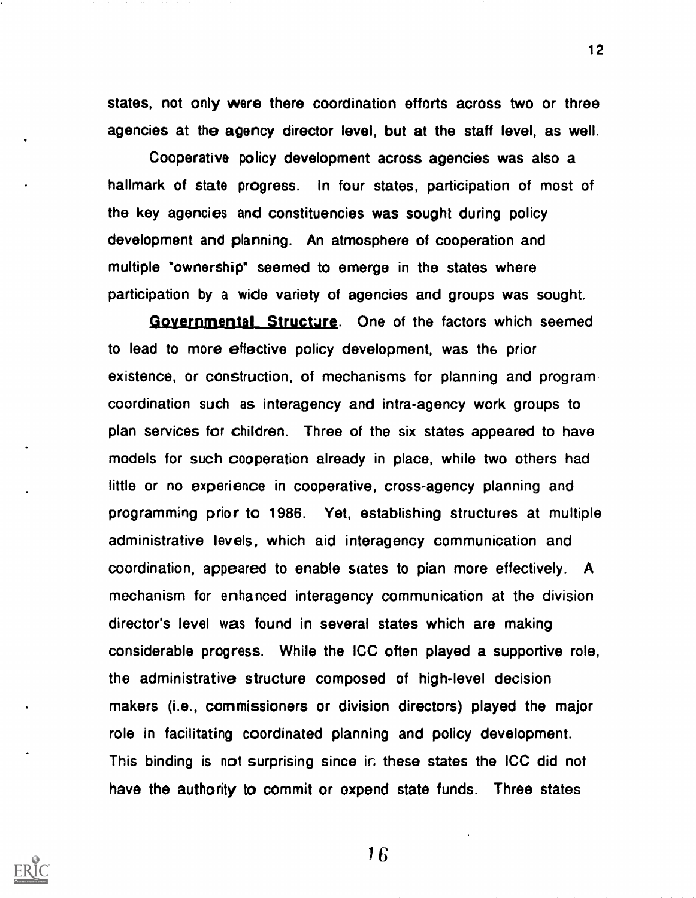states, not only were there coordination efforts across two or three agencies at the agency director level, but at the staff level, as well.

Cooperative policy development across agencies was also a hallmark of state progress. In four states, participation of most of the key agencies and constituencies was sought during policy development and planning. An atmosphere of cooperation and multiple \*ownership" seemed to emerge in the states where participation by a wide variety of agencies and groups was sought.

Governmental Structure. One of the factors which seemed to lead to more effective policy development, was the prior existence, or construction, of mechanisms for planning and program coordination such as interagency and intra-agency work groups to plan services for children. Three of the six states appeared to have models for such cooperation already in place, while two others had little or no experience in cooperative, cross-agency planning and programming prior to 1986. Yet, establishing structures at multiple administrative levels, which aid interagency communication and coordination, appeared to enable sates to plan more effectively. A mechanism for enhanced interagency communication at the division director's level was found in several states which are making considerable progress. While the ICC often played a supportive role, the administrative structure composed of high-level decision makers (i.e., commissioners or division directors) played the major role in facilitating coordinated planning and policy development. This binding is not surprising since ir. these states the ICC did not have the authority to commit or expend state funds. Three states



16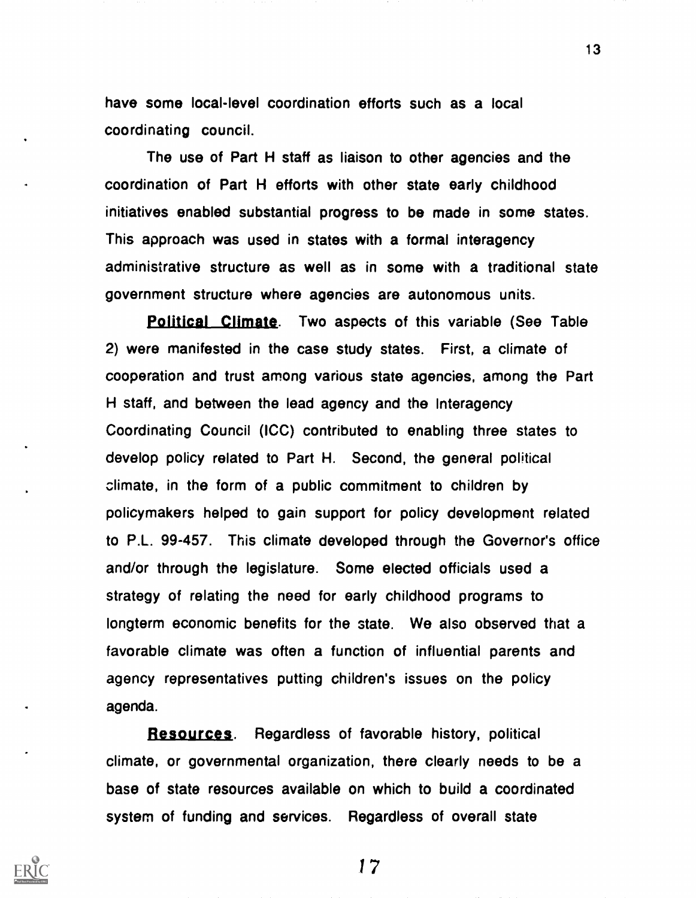have some local-level coordination efforts such as a local coordinating council.

The use of Part H staff as liaison to other agencies and the coordination of Part H efforts with other state early childhood initiatives enabled substantial progress to be made in some states. This approach was used in states with a formal interagency administrative structure as well as in some with a traditional state government structure where agencies are autonomous units.

Political Climate. Two aspects of this variable (See Table 2) were manifested in the case study states. First, a climate of cooperation and trust among various state agencies, among the Part H staff, and between the lead agency and the Interagency Coordinating Council (ICC) contributed to enabling three states to develop policy related to Part H. Second, the general political climate, in the form of a public commitment to children by policymakers helped to gain support for policy development related to P.L. 99-457. This climate developed through the Governor's office and/or through the legislature. Some elected officials used a strategy of relating the need for early childhood programs to longterm economic benefits for the state. We also observed that a favorable climate was often a function of influential parents and agency representatives putting children's issues on the policy agenda.

Resources. Regardless of favorable history, political climate, or governmental organization, there clearly needs to be a base of state resources available on which to build a coordinated system of funding and services. Regardless of overall state

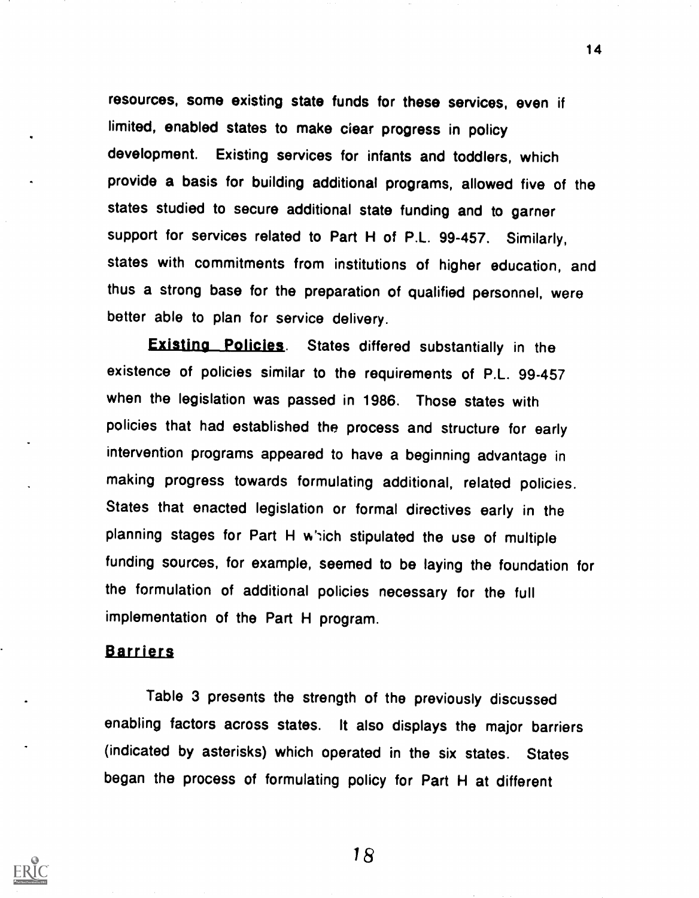resources, some existing state funds for these services, even if limited, enabled states to make ciear progress in policy development. Existing services for infants and toddlers, which provide a basis for building additional programs, allowed five of the states studied to secure additional state funding and to garner support for services related to Part H of P.L. 99-457. Similarly, states with commitments from institutions of higher education, and thus a strong base for the preparation of qualified personnel, were better able to plan for service delivery.

**Existing Policies.** States differed substantially in the existence of policies similar to the requirements of P.L. 99-457 when the legislation was passed in 1986. Those states with policies that had established the process and structure for early intervention programs appeared to have a beginning advantage in making progress towards formulating additional, related policies. States that enacted legislation or formal directives early in the planning stages for Part H which stipulated the use of multiple funding sources, for example, seemed to be laying the foundation for the formulation of additional policies necessary for the full implementation of the Part H program.

### Barriers

Table 3 presents the strength of the previously discussed enabling factors across states. It also displays the major barriers (indicated by asterisks) which operated in the six states. States began the process of formulating policy for Part H at different



18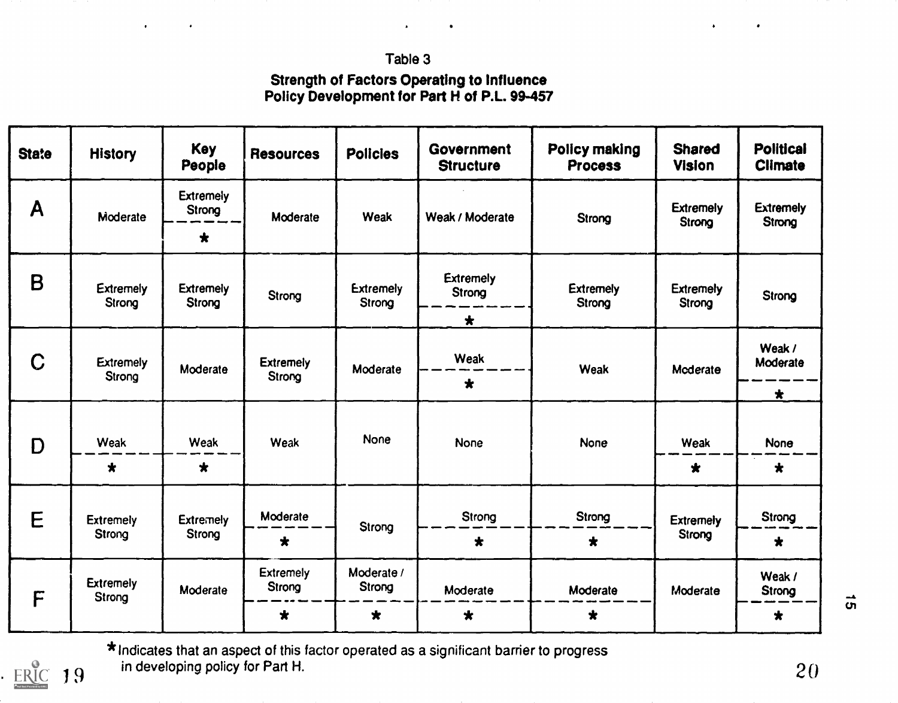## Table 3

## Strength of Factors Operating to Influence Policy Development for Part H of P.L. 99-457

| <b>State</b> | <b>History</b>             | <b>Key</b><br>People       | <b>Resources</b>           | <b>Policies</b>            | Government<br><b>Structure</b> | Policy making<br><b>Process</b> | <b>Shared</b><br><b>Vision</b> | <b>Political</b><br><b>Climate</b> |  |  |  |  |  |  |  |  |             |      |
|--------------|----------------------------|----------------------------|----------------------------|----------------------------|--------------------------------|---------------------------------|--------------------------------|------------------------------------|--|--|--|--|--|--|--|--|-------------|------|
| A            | Moderate                   | <b>Extremely</b><br>Strong | Moderate                   | <b>Weak</b>                | Weak / Moderate                | Strong                          | <b>Extremely</b><br>Strong     | <b>Extremely</b><br>Strong         |  |  |  |  |  |  |  |  |             |      |
|              |                            | $\star$                    |                            |                            |                                |                                 |                                |                                    |  |  |  |  |  |  |  |  |             |      |
| B            | <b>Extremely</b><br>Strong | <b>Extremely</b><br>Strong | Strong                     | <b>Extremely</b><br>Strong | <b>Extremely</b><br>Strong     | <b>Extremely</b><br>Strong      | <b>Extremely</b><br>Strong     | Strong                             |  |  |  |  |  |  |  |  |             |      |
|              |                            |                            |                            |                            | $\star$                        |                                 |                                |                                    |  |  |  |  |  |  |  |  |             |      |
| C            | <b>Extremely</b><br>Strong | Moderate                   | <b>Extremely</b><br>Strong | Moderate                   | Weak                           | <b>Weak</b>                     | Moderate                       | Weak /<br>Moderate                 |  |  |  |  |  |  |  |  |             |      |
|              |                            |                            |                            |                            | $\star$                        |                                 |                                | $\star$                            |  |  |  |  |  |  |  |  |             |      |
| D            |                            |                            | <b>Weak</b>                |                            |                                | <b>None</b>                     |                                |                                    |  |  |  |  |  |  |  |  |             |      |
|              | Weak                       | <b>Weak</b>                |                            |                            |                                |                                 |                                |                                    |  |  |  |  |  |  |  |  | <b>None</b> | None |
|              | $\star$                    | $\star$                    |                            |                            |                                |                                 | $\star$                        | $\star$                            |  |  |  |  |  |  |  |  |             |      |
| E            | <b>Extremely</b><br>Strong | <b>Extremely</b>           | Moderate                   |                            | Strong                         | Strong                          | <b>Extremely</b>               | Strong                             |  |  |  |  |  |  |  |  |             |      |
|              |                            | Strong                     | $\star$                    | Strong                     | $\bigstar$                     | $\star$                         | Strong                         | $\star$                            |  |  |  |  |  |  |  |  |             |      |
| F            | <b>Extremely</b><br>Strong | Moderate                   | <b>Extremely</b><br>Strong | Moderate /<br>Strong       | Moderate                       | Moderate                        | Moderate                       | Weak /<br>Strong                   |  |  |  |  |  |  |  |  |             |      |
|              |                            |                            | $\star$                    | $\bigstar$                 | $\star$                        | $\bigstar$                      |                                | $\star$                            |  |  |  |  |  |  |  |  |             |      |

 $19$  mevel \*Indicates that an aspect of this factor operated as a significant barrier to progress in developing policy for Part H.  $20$ 

ERIC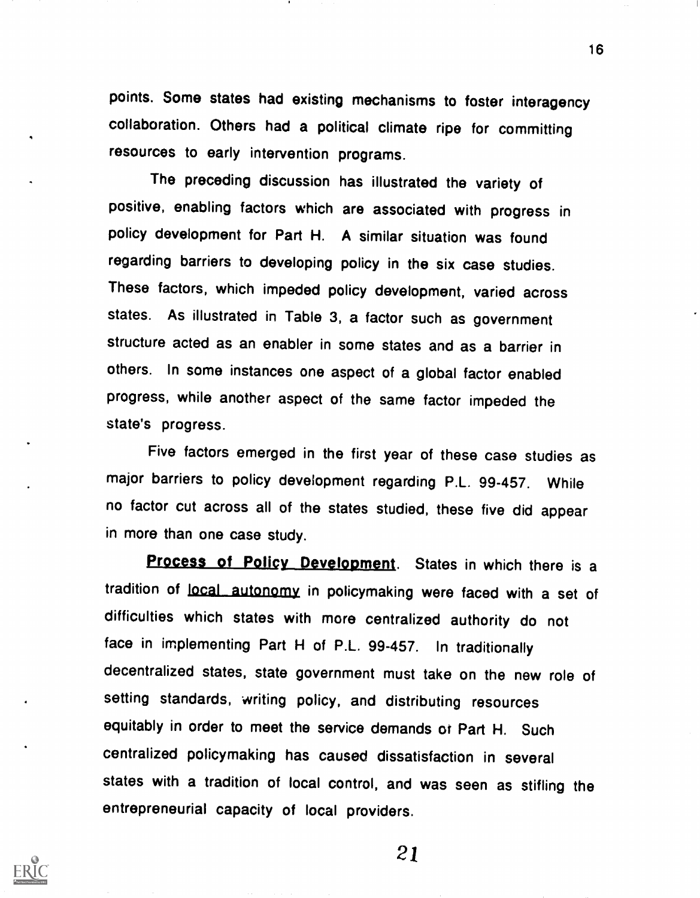points. Some states had existing mechanisms to foster interagency collaboration. Others had a political climate ripe for committing resources to early intervention programs.

The preceding discussion has illustrated the variety of positive, enabling factors which are associated with progress in policy development for Part H. A similar situation was found regarding barriers to developing policy in the six case studies. These factors, which impeded policy development, varied across states. As illustrated in Table 3, a factor such as government structure acted as an enabler in some states and as a barrier in others. In some instances one aspect of a global factor enabled progress, while another aspect of the same factor impeded the state's progress.

Five factors emerged in the first year of these case studies as major barriers to policy development regarding P.L. 99-457. While no factor cut across all of the states studied, these five did appear in more than one case study.

Process of Policy Development. States in which there is a tradition of local autonomy in policymaking were faced with a set of difficulties which states with more centralized authority do not face in implementing Part H of P.L. 99-457. In traditionally decentralized states, state government must take on the new role of setting standards, writing policy, and distributing resources equitably in order to meet the service demands ot Part H. Such centralized policymaking has caused dissatisfaction in several states with a tradition of local control, and was seen as stifling the entrepreneurial capacity of local providers.

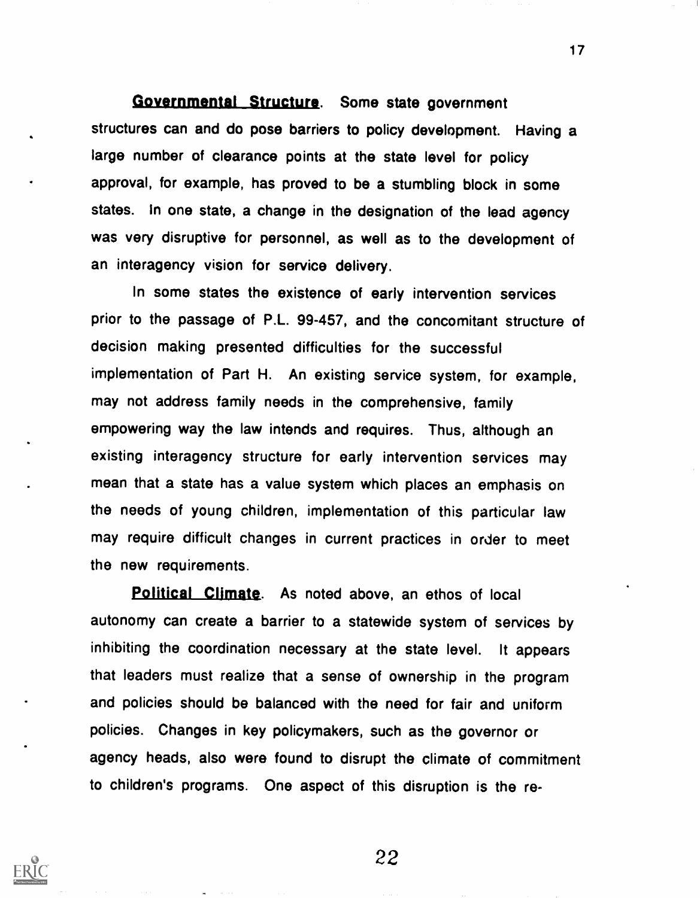## Governmental Structure. Some state government

structures can and do pose barriers to policy development. Having a large number of clearance points at the state level for policy approval, for example, has proved to be a stumbling block in some states. In one state, a change in the designation of the lead agency was very disruptive for personnel, as well as to the development of an interagency vision for service delivery.

In some states the existence of early intervention services prior to the passage of P.L. 99-457, and the concomitant structure of decision making presented difficulties for the successful implementation of Part H. An existing service system, for example, may not address family needs in the comprehensive, family empowering way the law intends and requires. Thus, although an existing interagency structure for early intervention services may mean that a state has a value system which places an emphasis on the needs of young children, implementation of this particular law may require difficult changes in current practices in order to meet the new requirements.

Political Climate. As noted above, an ethos of local autonomy can create a barrier to a statewide system of services by inhibiting the coordination necessary at the state level. It appears that leaders must realize that a sense of ownership in the program and policies should be balanced with the need for fair and uniform policies. Changes in key policymakers, such as the governor or agency heads, also were found to disrupt the climate of commitment to children's programs. One aspect of this disruption is the re-



22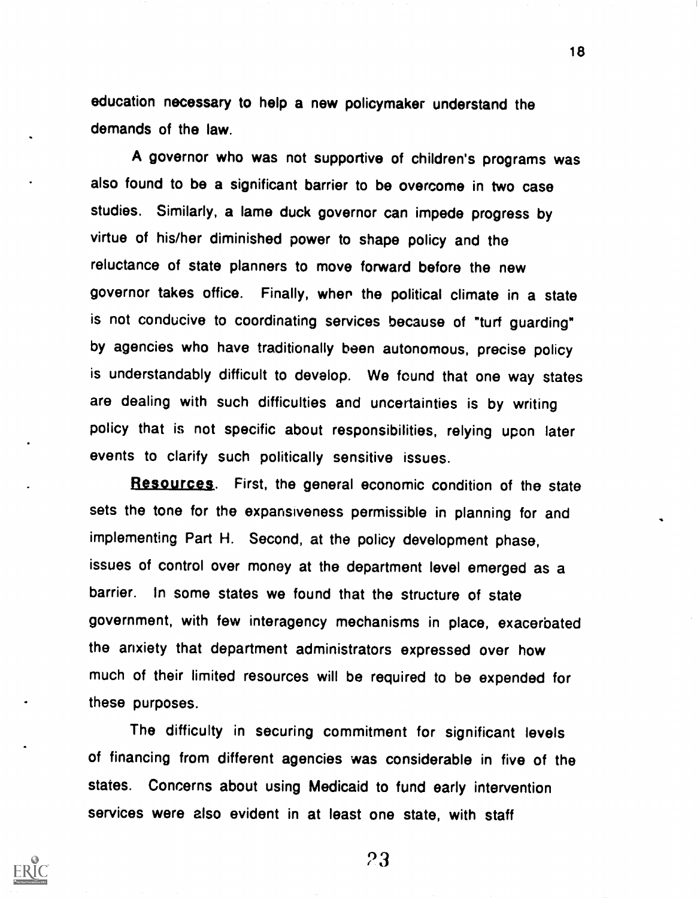education necessary to help a new policymaker understand the demands of the law.

A governor who was not supportive of children's programs was also found to be a significant barrier to be overcome in two case studies. Similarly, a lame duck governor can impede progress by virtue of his/her diminished power to shape policy and the reluctance of state planners to move forward before the new governor takes office. Finally, wher the political climate in a state is not conducive to coordinating services because of "turf guarding" by agencies who have traditionally been autonomous, precise policy is understandably difficult to develop. We found that one way states are dealing with such difficulties and uncertainties is by writing policy that is not specific about responsibilities, relying upon later events to clarify such politically sensitive issues.

Resources. First, the general economic condition of the state sets the tone for the expansiveness permissible in planning for and implementing Part H. Second, at the policy development phase, issues of control over money at the department level emerged as a barrier. In some states we found that the structure of state government, with few interagency mechanisms in place, exacerbated the anxiety that department administrators expressed over how much of their limited resources will be required to be expended for these purposes.

The difficulty in securing commitment for significant levels of financing from different agencies was considerable in five of the states. Concerns about using Medicaid to fund early intervention services were also evident in at least one state, with staff



23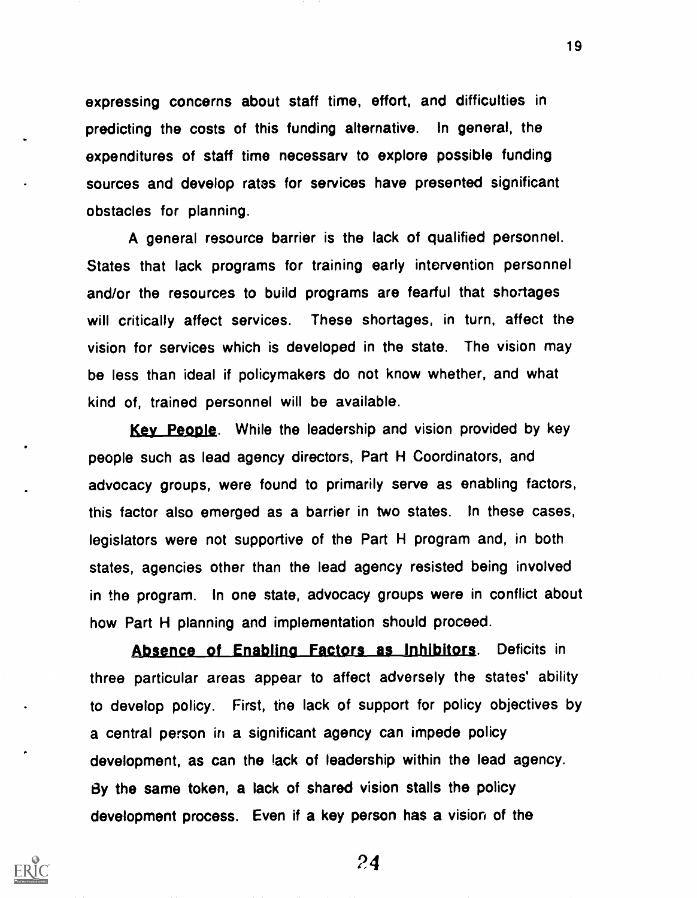expressing concerns about staff time, effort, and difficulties in predicting the costs of this funding alternative. In general, the expenditures of staff time necessary to explore possible funding sources and develop rates for services have presented significant obstacles for planning.

A general resource barrier is the lack of qualified personnel. States that lack programs for training early intervention personnel and/or the resources to build programs are fearful that shortages will critically affect services. These shortages, in turn, affect the vision for services which is developed in the state. The vision may be less than ideal if policymakers do not know whether, and what kind of, trained personnel will be available.

Key People. While the leadership and vision provided by key people such as lead agency directors, Part H Coordinators, and advocacy groups, were found to primarily serve as enabling factors, this factor also emerged as a barrier in two states. In these cases, legislators were not supportive of the Part H program and, in both states, agencies other than the lead agency resisted being involved in the program. In one state, advocacy groups were in conflict about how Part H planning and implementation should proceed.

Absence of Enabling Factors as Inhibitors. Deficits in three particular areas appear to affect adversely the states' ability to develop policy. First, the lack of support for policy objectives by a central person in a significant agency can impede policy development, as can the lack of leadership within the lead agency. By the same token, a lack of shared vision stalls the policy development process. Even if a key person has a vision of the



24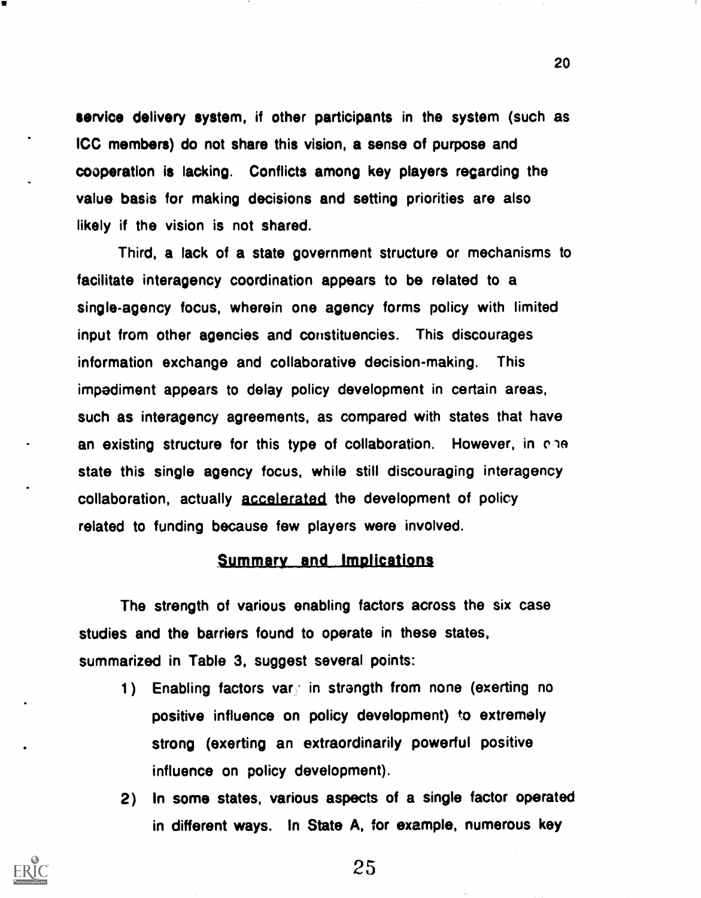service delivery system, if other participants in the system (such as ICC members) do not share this vision, a sense of purpose and cooperation is lacking. Conflicts among key players regarding the value basis for making decisions and setting priorities are also likely if the vision is not shared.

Third, a lack of a state government structure or mechanisms to facilitate interagency coordination appears to be related to a single-agency focus, wherein one agency forms policy with limited input from other agencies and constituencies. This discourages information exchange and collaborative decision-making. This impediment appears to delay policy development in certain areas, such as interagency agreements, as compared with states that have an existing structure for this type of collaboration. However, in che state this single agency focus, while still discouraging interagency collaboration, actually accelerated the development of policy related to funding because few players were involved.

## Summary and Implications

The strength of various enabling factors across the six case studies and the barriers found to operate in these states, summarized in Table 3, suggest several points:

- 1) Enabling factors vare in strength from none (exerting no positive influence on policy development) to extremely strong (exerting an extraordinarily powerful positive influence on policy development).
- 2) In some states, various aspects of a single factor operated in different ways. In State A, for example, numerous key



25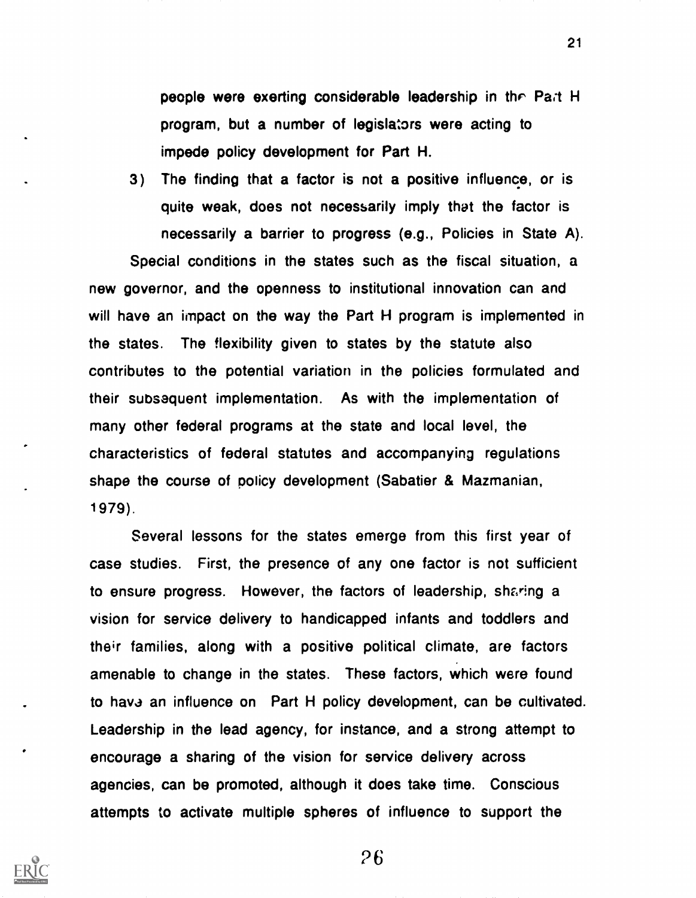people were exerting considerable leadership in thr Pat H program, but a number of legislators were acting to impede policy development for Part H.

3) The finding that a factor is not a positive influence, or is quite weak, does not necessarily imply that the factor is necessarily a barrier to progress (e.g., Policies in State A).

Special conditions in the states such as the fiscal situation, a new governor, and the openness to institutional innovation can and will have an impact on the way the Part H program is implemented in the states. The flexibility given to states by the statute also contributes to the potential variation in the policies formulated and their subsequent implementation. As with the implementation of many other federal programs at the state and local level, the characteristics of federal statutes and accompanying regulations shape the course of policy development (Sabatier & Mazmanian, 1979).

Several lessons for the states emerge from this first year of case studies. First, the presence of any one factor is not sufficient to ensure progress. However, the factors of leadership, sharing a vision for service delivery to handicapped infants and toddlers and their families, along with a positive political climate, are factors amenable to change in the states. These factors, which were found to have an influence on Part H policy development, can be cultivated. Leadership in the lead agency, for instance, and a strong attempt to encourage a sharing of the vision for service delivery across agencies, can be promoted, although it does take time. Conscious attempts to activate multiple spheres of influence to support the



26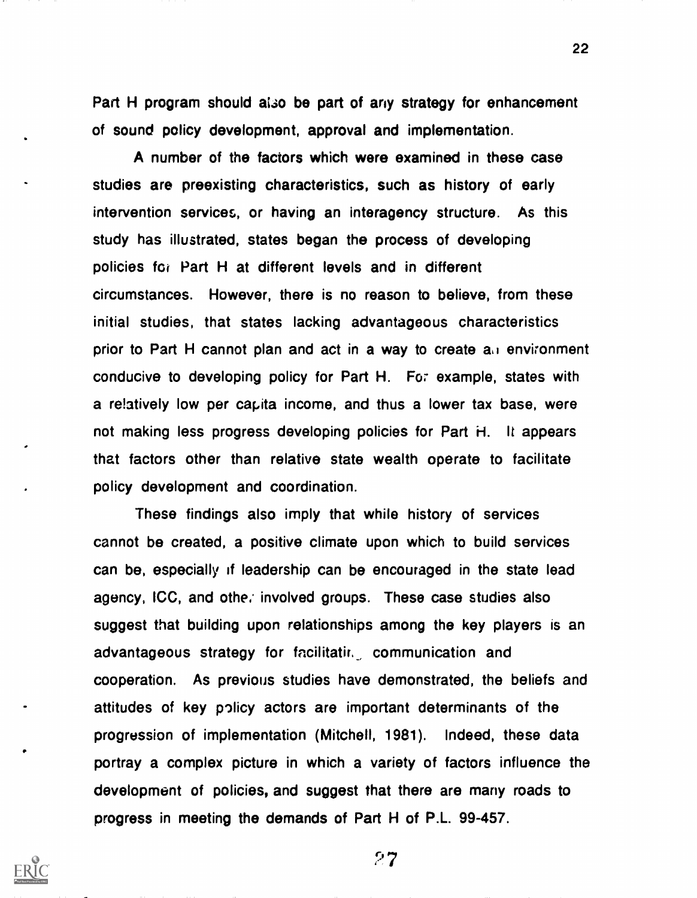Part H program should also be part of any strategy for enhancement of sound policy development, approval and implementation.

A number of the factors which were examined in these case studies are preexisting characteristics, such as history of early intervention services, or having an interagency structure. As this study has illustrated, states began the process of developing policies for Part H at different levels and in different circumstances. However, there is no reason to believe, from these initial studies, that states lacking advantageous characteristics prior to Part H cannot plan and act in a way to create an environment conducive to developing policy for Part H. FO7 example, states with a re!atively low per capita income, and thus a lower tax base, were not making less progress developing policies for Part H. It appears that factors other than relative state wealth operate to facilitate policy development and coordination.

These findings also imply that while history of services cannot be created, a positive climate upon which to build services can be, especially if leadership can be encouraged in the state lead agency, ICC, and othe, involved groups. These case studies also suggest that building upon relationships among the key players is an advantageous strategy for facilitatir, communication and cooperation. As previous studies have demonstrated, the beliefs and attitudes of key policy actors are important determinants of the progression of implementation (Mitchell, 1981). Indeed, these data portray a complex picture in which a variety of factors influence the development of policies, and suggest that there are many roads to progress in meeting the demands of Part H of P.L. 99-457.

27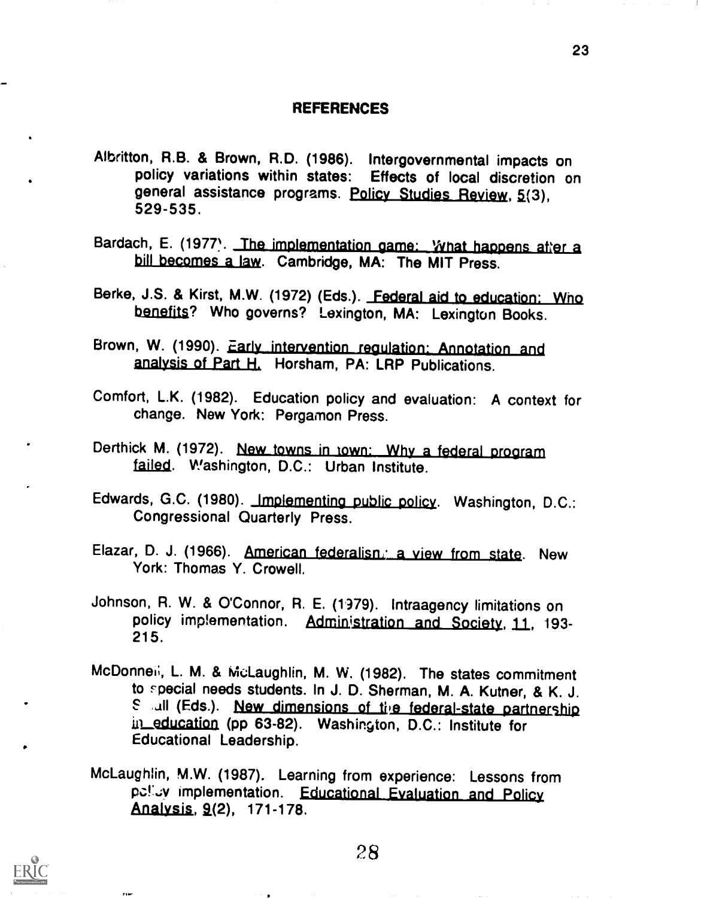### **REFERENCES**

- Albritton, R.B. & Brown, R.D. (1986). Intergovernmental impacts on policy variations within states: Effects of local discretion on general assistance programs. Policy Studies Review, 5(3), 529-535.
- Bardach, E. (1977). The implementation game: What happens after a bill becomes a law. Cambridge, MA: The MIT Press.
- Berke, J.S. & Kirst, M.W. (1972) (Eds.). Federal aid to education: Who benefits? Who governs? Lexington, MA: Lexington Books.
- Brown, W. (1990). Early intervention regulation: Annotation and analysjs of Part H. Horsham, PA: LRP Publications.
- Comfort, L.K. (1982). Education policy and evaluation: A context for change. New York: Pergamon Press.
- Derthick M. (1972). New towns in town: Why a federal program failed. Washington, D.C.: Urban Institute.
- Edwards, G.C. (1980). Implementing public policy. Washington, D.C.: Congressional Quarterly Press.
- Elazar, D. J. (1966). American federalisn. a view from state. New York: Thomas Y. Crowell.
- Johnson, R. W. & O'Connor, R. E. (1979). Intraagency limitations on policy implementation. Administration and Society, 11, 193-215.
- McDonneli, L. M. & McLaughlin, M. W. (1982). The states commitment to rpecial needs students. In J. D. Sherman, M. A. Kutner, & K. J. E all (Eds.). New dimensions of the federal-state partnership in education (pp 63-82). Washington, D.C.: Institute for Educational Leadership.
- McLaughlin, M.W. (1987). Learning from experience: Lessons from pelicy implementation. Educational Evaluation and Policy Analysis, 9(2), 171-178.



**Film**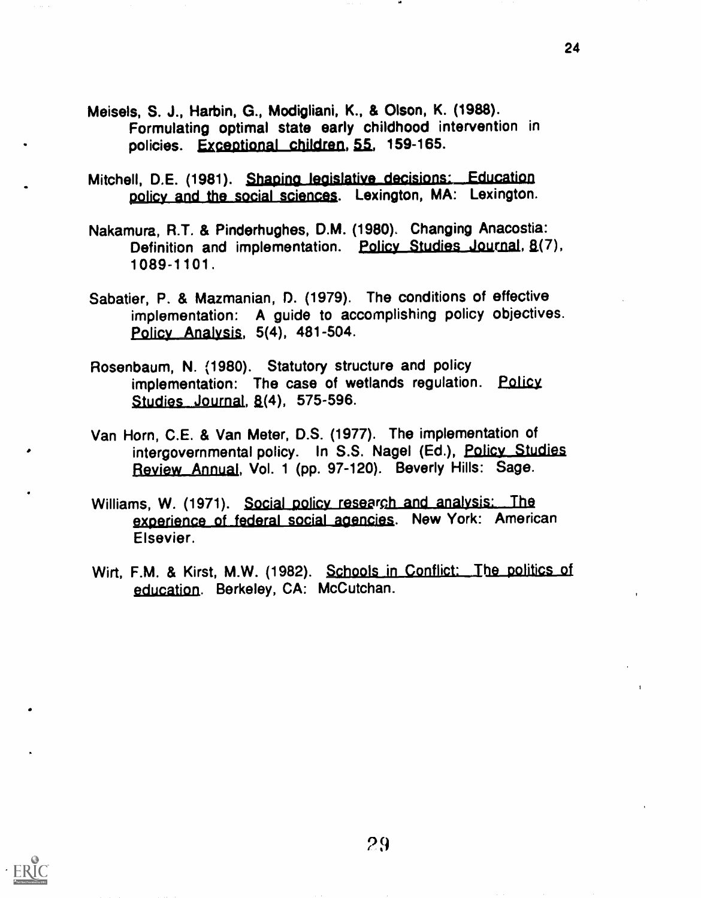- Meisels, S. J., Harbin, G., Modigliani, K., & Olson, K. (1988). Formulating optimal state early childhood intervention in policies. Exceptional children, 55, 159-165.
- Mitchell, D.E. (1981). Shaping legislative decisions: Education policy and the social sciences. Lexington, MA: Lexington.
- Nakamura, R.T. & Pinderhughes, D.M. (1980), Changing Anacostia: Definition and implementation. Policy Studies Journal, 8(7), 1 0 89-1 101.
- Sabatier, P. & Mazmanian, D. (1979). The conditions of effective implementation: A guide to accomplishing policy objectives. Policy Analysis, 5(4), 481-504.
- Rosenbaum, N. (1980). Statutory structure and policy implementation: The case of wetlands regulation. Policy, Studies Journal,  $8(4)$ , 575-596.
- Van Horn, C.E. & Van Meter, D.S. (1977). The implementation of intergovernmental policy. In S.S. Nagel (Ed.), Policy Studies Review Annual, Vol. 1 (pp. 97-120). Beverly Hills: Sage.
- Williams, W. (1971). Social policy research and analysis: The experience of federal social agencies. New York: American Elsevier.
- Wirt, F.M. & Kirst, M.W. (1982). Schools in Conflict: The politics of education. Berkeley, CA: McCutchan.